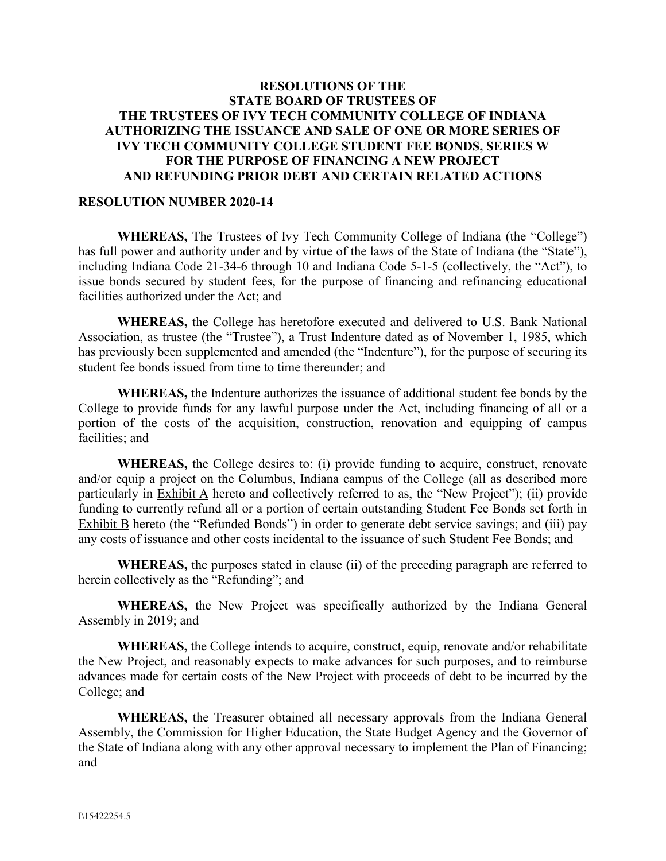### **RESOLUTIONS OF THE STATE BOARD OF TRUSTEES OF THE TRUSTEES OF IVY TECH COMMUNITY COLLEGE OF INDIANA AUTHORIZING THE ISSUANCE AND SALE OF ONE OR MORE SERIES OF IVY TECH COMMUNITY COLLEGE STUDENT FEE BONDS, SERIES W FOR THE PURPOSE OF FINANCING A NEW PROJECT AND REFUNDING PRIOR DEBT AND CERTAIN RELATED ACTIONS**

#### **RESOLUTION NUMBER 2020-14**

**WHEREAS,** The Trustees of Ivy Tech Community College of Indiana (the "College") has full power and authority under and by virtue of the laws of the State of Indiana (the "State"), including Indiana Code 21-34-6 through 10 and Indiana Code 5-1-5 (collectively, the "Act"), to issue bonds secured by student fees, for the purpose of financing and refinancing educational facilities authorized under the Act; and

**WHEREAS,** the College has heretofore executed and delivered to U.S. Bank National Association, as trustee (the "Trustee"), a Trust Indenture dated as of November 1, 1985, which has previously been supplemented and amended (the "Indenture"), for the purpose of securing its student fee bonds issued from time to time thereunder; and

**WHEREAS,** the Indenture authorizes the issuance of additional student fee bonds by the College to provide funds for any lawful purpose under the Act, including financing of all or a portion of the costs of the acquisition, construction, renovation and equipping of campus facilities; and

**WHEREAS,** the College desires to: (i) provide funding to acquire, construct, renovate and/or equip a project on the Columbus, Indiana campus of the College (all as described more particularly in Exhibit A hereto and collectively referred to as, the "New Project"); (ii) provide funding to currently refund all or a portion of certain outstanding Student Fee Bonds set forth in Exhibit B hereto (the "Refunded Bonds") in order to generate debt service savings; and (iii) pay any costs of issuance and other costs incidental to the issuance of such Student Fee Bonds; and

**WHEREAS,** the purposes stated in clause (ii) of the preceding paragraph are referred to herein collectively as the "Refunding"; and

**WHEREAS,** the New Project was specifically authorized by the Indiana General Assembly in 2019; and

**WHEREAS,** the College intends to acquire, construct, equip, renovate and/or rehabilitate the New Project, and reasonably expects to make advances for such purposes, and to reimburse advances made for certain costs of the New Project with proceeds of debt to be incurred by the College; and

**WHEREAS,** the Treasurer obtained all necessary approvals from the Indiana General Assembly, the Commission for Higher Education, the State Budget Agency and the Governor of the State of Indiana along with any other approval necessary to implement the Plan of Financing; and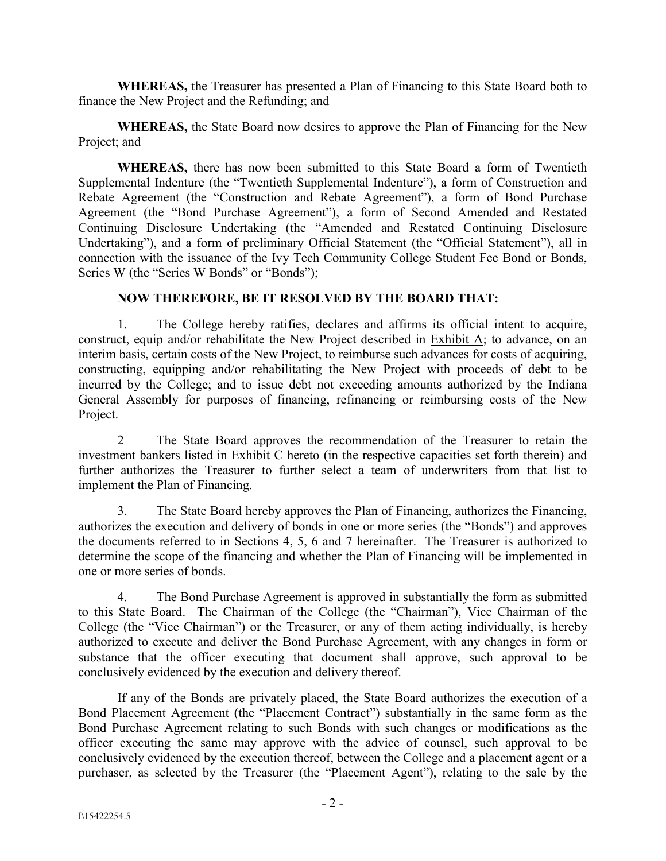**WHEREAS,** the Treasurer has presented a Plan of Financing to this State Board both to finance the New Project and the Refunding; and

**WHEREAS,** the State Board now desires to approve the Plan of Financing for the New Project; and

**WHEREAS,** there has now been submitted to this State Board a form of Twentieth Supplemental Indenture (the "Twentieth Supplemental Indenture"), a form of Construction and Rebate Agreement (the "Construction and Rebate Agreement"), a form of Bond Purchase Agreement (the "Bond Purchase Agreement"), a form of Second Amended and Restated Continuing Disclosure Undertaking (the "Amended and Restated Continuing Disclosure Undertaking"), and a form of preliminary Official Statement (the "Official Statement"), all in connection with the issuance of the Ivy Tech Community College Student Fee Bond or Bonds, Series W (the "Series W Bonds" or "Bonds");

## **NOW THEREFORE, BE IT RESOLVED BY THE BOARD THAT:**

1. The College hereby ratifies, declares and affirms its official intent to acquire, construct, equip and/or rehabilitate the New Project described in Exhibit A; to advance, on an interim basis, certain costs of the New Project, to reimburse such advances for costs of acquiring, constructing, equipping and/or rehabilitating the New Project with proceeds of debt to be incurred by the College; and to issue debt not exceeding amounts authorized by the Indiana General Assembly for purposes of financing, refinancing or reimbursing costs of the New Project.

2 The State Board approves the recommendation of the Treasurer to retain the investment bankers listed in Exhibit C hereto (in the respective capacities set forth therein) and further authorizes the Treasurer to further select a team of underwriters from that list to implement the Plan of Financing.

3. The State Board hereby approves the Plan of Financing, authorizes the Financing, authorizes the execution and delivery of bonds in one or more series (the "Bonds") and approves the documents referred to in Sections 4, 5, 6 and 7 hereinafter. The Treasurer is authorized to determine the scope of the financing and whether the Plan of Financing will be implemented in one or more series of bonds.

4. The Bond Purchase Agreement is approved in substantially the form as submitted to this State Board. The Chairman of the College (the "Chairman"), Vice Chairman of the College (the "Vice Chairman") or the Treasurer, or any of them acting individually, is hereby authorized to execute and deliver the Bond Purchase Agreement, with any changes in form or substance that the officer executing that document shall approve, such approval to be conclusively evidenced by the execution and delivery thereof.

If any of the Bonds are privately placed, the State Board authorizes the execution of a Bond Placement Agreement (the "Placement Contract") substantially in the same form as the Bond Purchase Agreement relating to such Bonds with such changes or modifications as the officer executing the same may approve with the advice of counsel, such approval to be conclusively evidenced by the execution thereof, between the College and a placement agent or a purchaser, as selected by the Treasurer (the "Placement Agent"), relating to the sale by the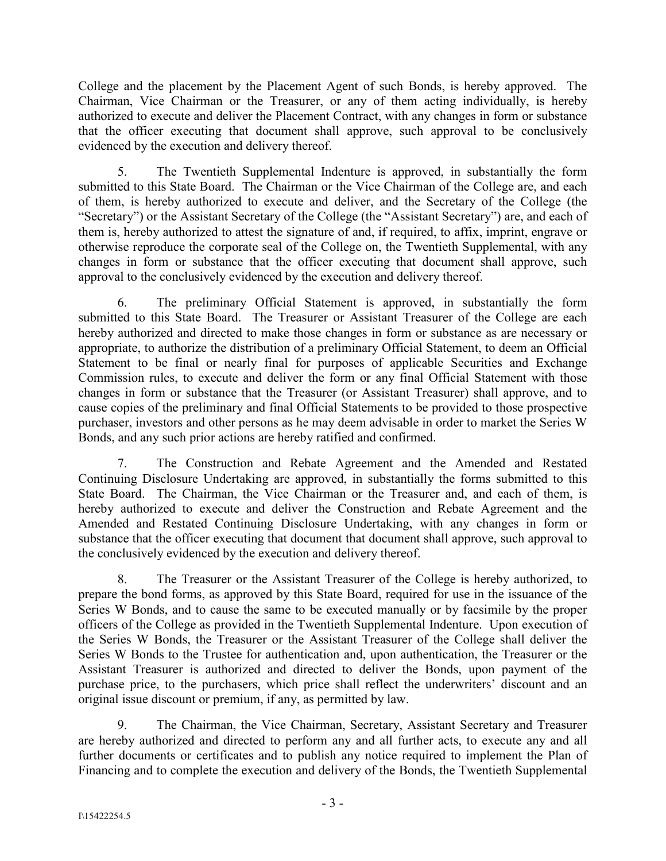College and the placement by the Placement Agent of such Bonds, is hereby approved. The Chairman, Vice Chairman or the Treasurer, or any of them acting individually, is hereby authorized to execute and deliver the Placement Contract, with any changes in form or substance that the officer executing that document shall approve, such approval to be conclusively evidenced by the execution and delivery thereof.

5. The Twentieth Supplemental Indenture is approved, in substantially the form submitted to this State Board. The Chairman or the Vice Chairman of the College are, and each of them, is hereby authorized to execute and deliver, and the Secretary of the College (the "Secretary") or the Assistant Secretary of the College (the "Assistant Secretary") are, and each of them is, hereby authorized to attest the signature of and, if required, to affix, imprint, engrave or otherwise reproduce the corporate seal of the College on, the Twentieth Supplemental, with any changes in form or substance that the officer executing that document shall approve, such approval to the conclusively evidenced by the execution and delivery thereof.

6. The preliminary Official Statement is approved, in substantially the form submitted to this State Board. The Treasurer or Assistant Treasurer of the College are each hereby authorized and directed to make those changes in form or substance as are necessary or appropriate, to authorize the distribution of a preliminary Official Statement, to deem an Official Statement to be final or nearly final for purposes of applicable Securities and Exchange Commission rules, to execute and deliver the form or any final Official Statement with those changes in form or substance that the Treasurer (or Assistant Treasurer) shall approve, and to cause copies of the preliminary and final Official Statements to be provided to those prospective purchaser, investors and other persons as he may deem advisable in order to market the Series W Bonds, and any such prior actions are hereby ratified and confirmed.

7. The Construction and Rebate Agreement and the Amended and Restated Continuing Disclosure Undertaking are approved, in substantially the forms submitted to this State Board. The Chairman, the Vice Chairman or the Treasurer and, and each of them, is hereby authorized to execute and deliver the Construction and Rebate Agreement and the Amended and Restated Continuing Disclosure Undertaking, with any changes in form or substance that the officer executing that document that document shall approve, such approval to the conclusively evidenced by the execution and delivery thereof.

8. The Treasurer or the Assistant Treasurer of the College is hereby authorized, to prepare the bond forms, as approved by this State Board, required for use in the issuance of the Series W Bonds, and to cause the same to be executed manually or by facsimile by the proper officers of the College as provided in the Twentieth Supplemental Indenture. Upon execution of the Series W Bonds, the Treasurer or the Assistant Treasurer of the College shall deliver the Series W Bonds to the Trustee for authentication and, upon authentication, the Treasurer or the Assistant Treasurer is authorized and directed to deliver the Bonds, upon payment of the purchase price, to the purchasers, which price shall reflect the underwriters' discount and an original issue discount or premium, if any, as permitted by law.

9. The Chairman, the Vice Chairman, Secretary, Assistant Secretary and Treasurer are hereby authorized and directed to perform any and all further acts, to execute any and all further documents or certificates and to publish any notice required to implement the Plan of Financing and to complete the execution and delivery of the Bonds, the Twentieth Supplemental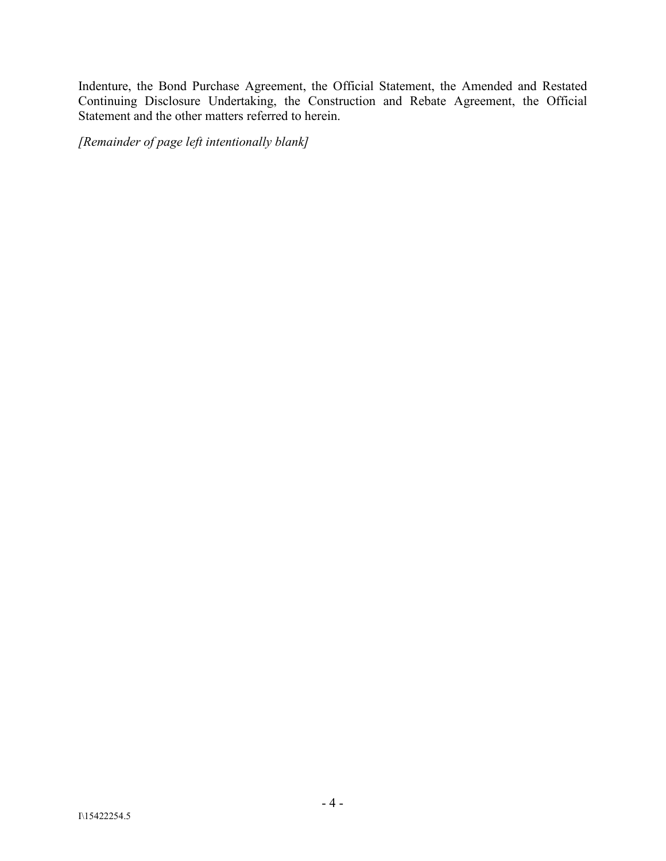Indenture, the Bond Purchase Agreement, the Official Statement, the Amended and Restated Continuing Disclosure Undertaking, the Construction and Rebate Agreement, the Official Statement and the other matters referred to herein.

*[Remainder of page left intentionally blank]*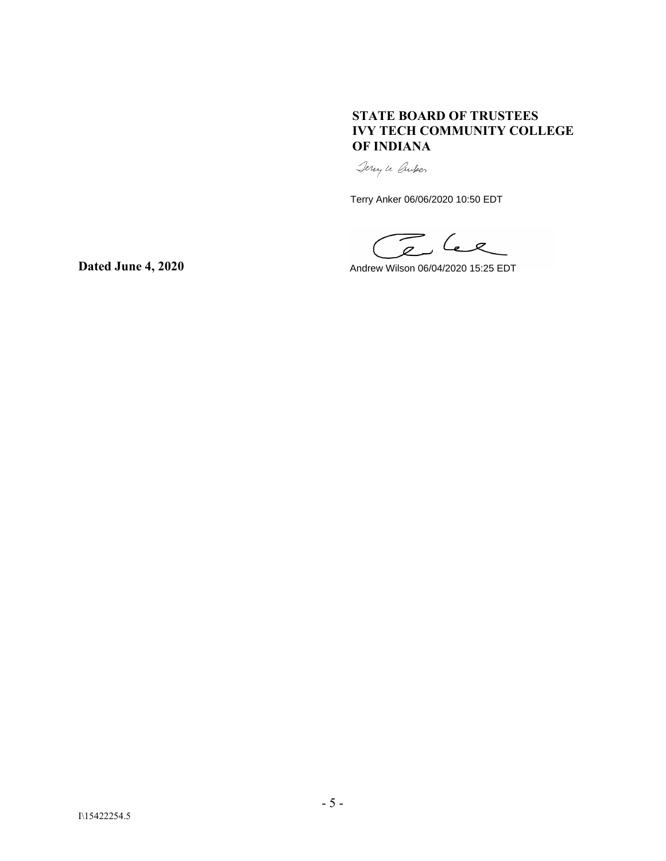### **STATE BOARD OF TRUSTEES IVY TECH COMMUNITY COLLEGE OF INDIANA**

Jerry le Croper

Terry Anker 06/06/2020 10:50 EDT

The lee

Andrew Wilson 06/04/2020 15:25 EDT

**Dated June 4, 2020**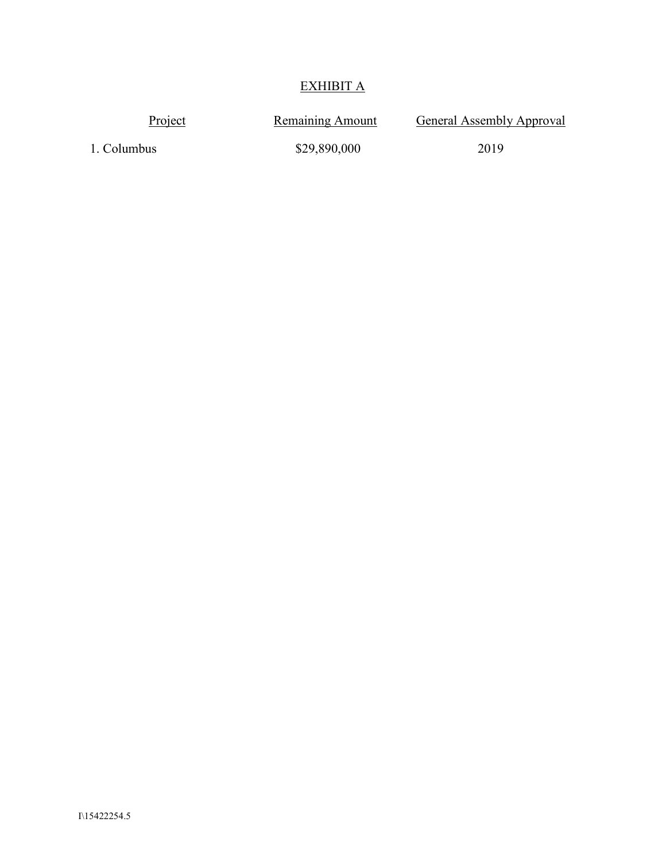# EXHIBIT A

| Project     | <b>Remaining Amount</b> | General Assembly Approval |
|-------------|-------------------------|---------------------------|
| 1. Columbus | \$29,890,000            | 2019                      |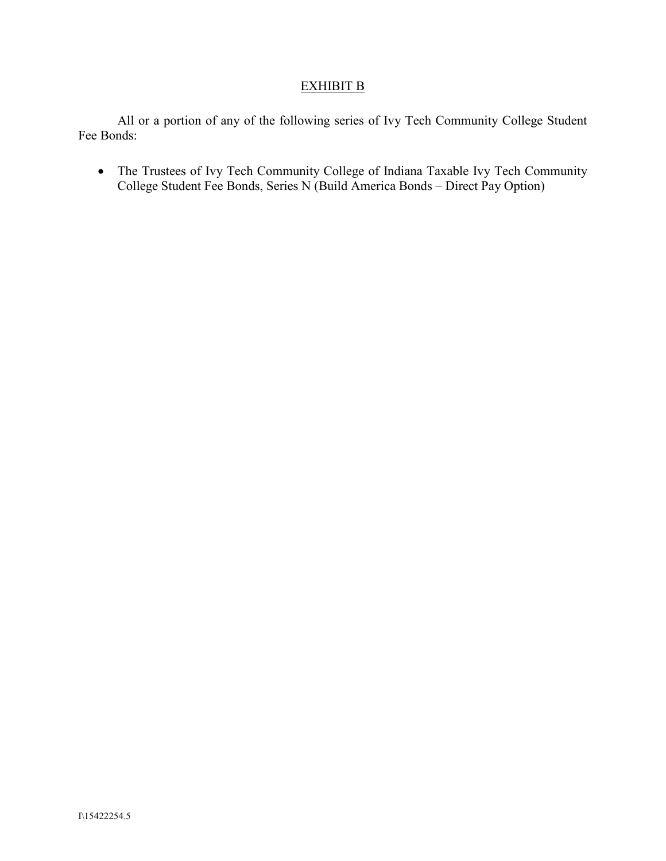## EXHIBIT B

All or a portion of any of the following series of Ivy Tech Community College Student Fee Bonds:

• The Trustees of Ivy Tech Community College of Indiana Taxable Ivy Tech Community College Student Fee Bonds, Series N (Build America Bonds – Direct Pay Option)